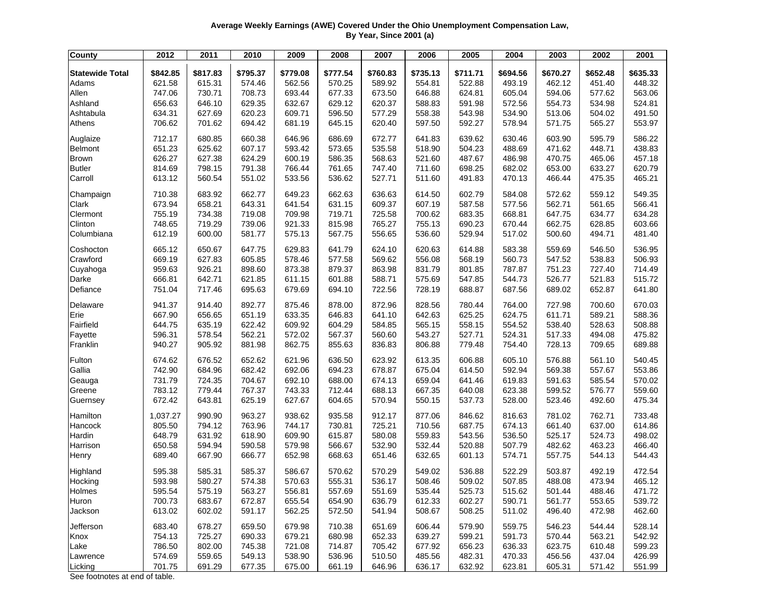## **Average Weekly Earnings (AWE) Covered Under the Ohio Unemployment Compensation Law, By Year, Since 2001 (a)**

| <b>County</b>          | 2012     | 2011     | 2010     | 2009     | 2008     | 2007     | 2006     | 2005     | 2004     | 2003     | 2002     | 2001     |
|------------------------|----------|----------|----------|----------|----------|----------|----------|----------|----------|----------|----------|----------|
| <b>Statewide Total</b> | \$842.85 | \$817.83 | \$795.37 | \$779.08 | \$777.54 | \$760.83 | \$735.13 | \$711.71 | \$694.56 | \$670.27 | \$652.48 | \$635.33 |
| Adams                  | 621.58   | 615.31   | 574.46   | 562.56   | 570.25   | 589.92   | 554.81   | 522.88   | 493.19   | 462.12   | 451.40   | 448.32   |
| Allen                  | 747.06   | 730.71   | 708.73   | 693.44   | 677.33   | 673.50   | 646.88   | 624.81   | 605.04   | 594.06   | 577.62   | 563.06   |
| Ashland                | 656.63   | 646.10   | 629.35   | 632.67   | 629.12   | 620.37   | 588.83   | 591.98   | 572.56   | 554.73   | 534.98   | 524.81   |
| Ashtabula              | 634.31   | 627.69   | 620.23   | 609.71   | 596.50   | 577.29   | 558.38   | 543.98   | 534.90   | 513.06   | 504.02   | 491.50   |
| Athens                 | 706.62   | 701.62   | 694.42   | 681.19   | 645.15   | 620.40   | 597.50   | 592.27   | 578.94   | 571.75   | 565.27   | 553.97   |
|                        |          |          |          |          |          |          |          |          |          |          |          |          |
| Auglaize               | 712.17   | 680.85   | 660.38   | 646.96   | 686.69   | 672.77   | 641.83   | 639.62   | 630.46   | 603.90   | 595.79   | 586.22   |
| Belmont                | 651.23   | 625.62   | 607.17   | 593.42   | 573.65   | 535.58   | 518.90   | 504.23   | 488.69   | 471.62   | 448.71   | 438.83   |
| <b>Brown</b>           | 626.27   | 627.38   | 624.29   | 600.19   | 586.35   | 568.63   | 521.60   | 487.67   | 486.98   | 470.75   | 465.06   | 457.18   |
| <b>Butler</b>          | 814.69   | 798.15   | 791.38   | 766.44   | 761.65   | 747.40   | 711.60   | 698.25   | 682.02   | 653.00   | 633.27   | 620.79   |
| Carroll                | 613.12   | 560.54   | 551.02   | 533.56   | 536.62   | 527.71   | 511.60   | 491.83   | 470.13   | 466.44   | 475.35   | 465.21   |
| Champaign              | 710.38   | 683.92   | 662.77   | 649.23   | 662.63   | 636.63   | 614.50   | 602.79   | 584.08   | 572.62   | 559.12   | 549.35   |
| Clark                  | 673.94   | 658.21   | 643.31   | 641.54   | 631.15   | 609.37   | 607.19   | 587.58   | 577.56   | 562.71   | 561.65   | 566.41   |
| Clermont               | 755.19   | 734.38   | 719.08   | 709.98   | 719.71   | 725.58   | 700.62   | 683.35   | 668.81   | 647.75   | 634.77   | 634.28   |
| Clinton                | 748.65   | 719.29   | 739.06   | 921.33   | 815.98   | 765.27   | 755.13   | 690.23   | 670.44   | 662.75   | 628.85   | 603.66   |
| Columbiana             | 612.19   | 600.00   | 581.77   | 575.13   | 567.75   | 556.65   | 536.60   | 529.94   | 517.02   | 500.60   | 494.71   | 481.40   |
| Coshocton              | 665.12   | 650.67   | 647.75   | 629.83   | 641.79   | 624.10   | 620.63   | 614.88   | 583.38   | 559.69   | 546.50   | 536.95   |
| Crawford               | 669.19   | 627.83   | 605.85   | 578.46   | 577.58   | 569.62   | 556.08   | 568.19   | 560.73   | 547.52   | 538.83   | 506.93   |
| Cuyahoga               | 959.63   | 926.21   | 898.60   | 873.38   | 879.37   | 863.98   | 831.79   | 801.85   | 787.87   | 751.23   | 727.40   | 714.49   |
| Darke                  | 666.81   | 642.71   | 621.85   | 611.15   | 601.88   | 588.71   | 575.69   | 547.85   | 544.73   | 526.77   | 521.83   | 515.72   |
| Defiance               | 751.04   | 717.46   | 695.63   | 679.69   | 694.10   | 722.56   | 728.19   | 688.87   | 687.56   | 689.02   | 652.87   | 641.80   |
| Delaware               | 941.37   | 914.40   | 892.77   | 875.46   | 878.00   | 872.96   | 828.56   | 780.44   | 764.00   | 727.98   | 700.60   | 670.03   |
| Erie                   | 667.90   | 656.65   | 651.19   | 633.35   | 646.83   | 641.10   | 642.63   | 625.25   | 624.75   | 611.71   | 589.21   | 588.36   |
| Fairfield              | 644.75   | 635.19   | 622.42   | 609.92   | 604.29   | 584.85   | 565.15   | 558.15   | 554.52   | 538.40   | 528.63   | 508.88   |
| Fayette                | 596.31   | 578.54   | 562.21   | 572.02   | 567.37   | 560.60   | 543.27   | 527.71   | 524.31   | 517.33   | 494.08   | 475.82   |
| Franklin               | 940.27   | 905.92   | 881.98   | 862.75   | 855.63   | 836.83   | 806.88   | 779.48   | 754.40   | 728.13   | 709.65   | 689.88   |
| Fulton                 | 674.62   | 676.52   | 652.62   | 621.96   | 636.50   | 623.92   | 613.35   | 606.88   | 605.10   | 576.88   | 561.10   | 540.45   |
| Gallia                 | 742.90   | 684.96   | 682.42   | 692.06   | 694.23   | 678.87   | 675.04   | 614.50   | 592.94   | 569.38   | 557.67   | 553.86   |
| Geauga                 | 731.79   | 724.35   | 704.67   | 692.10   | 688.00   | 674.13   | 659.04   | 641.46   | 619.83   | 591.63   | 585.54   | 570.02   |
| Greene                 | 783.12   | 779.44   | 767.37   | 743.33   | 712.44   | 688.13   | 667.35   | 640.08   | 623.38   | 599.52   | 576.77   | 559.60   |
| Guernsey               | 672.42   | 643.81   | 625.19   | 627.67   | 604.65   | 570.94   | 550.15   | 537.73   | 528.00   | 523.46   | 492.60   | 475.34   |
| Hamilton               | 1,037.27 | 990.90   | 963.27   | 938.62   | 935.58   | 912.17   | 877.06   | 846.62   | 816.63   | 781.02   | 762.71   | 733.48   |
| Hancock                | 805.50   | 794.12   | 763.96   | 744.17   | 730.81   | 725.21   | 710.56   | 687.75   | 674.13   | 661.40   | 637.00   | 614.86   |
| Hardin                 | 648.79   | 631.92   | 618.90   | 609.90   | 615.87   | 580.08   | 559.83   | 543.56   | 536.50   | 525.17   | 524.73   | 498.02   |
| Harrison               | 650.58   | 594.94   | 590.58   | 579.98   | 566.67   | 532.90   | 532.44   | 520.88   | 507.79   | 482.62   | 463.23   | 466.40   |
| Henry                  | 689.40   | 667.90   | 666.77   | 652.98   | 668.63   | 651.46   | 632.65   | 601.13   | 574.71   | 557.75   | 544.13   | 544.43   |
| Highland               | 595.38   | 585.31   | 585.37   | 586.67   | 570.62   | 570.29   | 549.02   | 536.88   | 522.29   | 503.87   | 492.19   | 472.54   |
| Hocking                | 593.98   | 580.27   | 574.38   | 570.63   | 555.31   | 536.17   | 508.46   | 509.02   | 507.85   | 488.08   | 473.94   | 465.12   |
| Holmes                 | 595.54   | 575.19   | 563.27   | 556.81   | 557.69   | 551.69   | 535.44   | 525.73   | 515.62   | 501.44   | 488.46   | 471.72   |
| Huron                  | 700.73   | 683.67   | 672.87   | 655.54   | 654.90   | 636.79   | 612.33   | 602.27   | 590.71   | 561.77   | 553.65   | 539.72   |
| Jackson                | 613.02   | 602.02   | 591.17   | 562.25   | 572.50   | 541.94   | 508.67   | 508.25   | 511.02   | 496.40   | 472.98   | 462.60   |
| Jefferson              | 683.40   | 678.27   | 659.50   | 679.98   | 710.38   | 651.69   | 606.44   | 579.90   | 559.75   | 546.23   | 544.44   | 528.14   |
| Knox                   | 754.13   | 725.27   | 690.33   | 679.21   | 680.98   | 652.33   | 639.27   | 599.21   | 591.73   | 570.44   | 563.21   | 542.92   |
| Lake                   | 786.50   | 802.00   | 745.38   | 721.08   | 714.87   | 705.42   | 677.92   | 656.23   | 636.33   | 623.75   | 610.48   | 599.23   |
| Lawrence               | 574.69   | 559.65   | 549.13   | 538.90   | 536.96   | 510.50   | 485.56   | 482.31   | 470.33   | 456.56   | 437.04   | 426.99   |
| Licking                | 701.75   | 691.29   | 677.35   | 675.00   | 661.19   | 646.96   | 636.17   | 632.92   | 623.81   | 605.31   | 571.42   | 551.99   |

See footnotes at end of table.